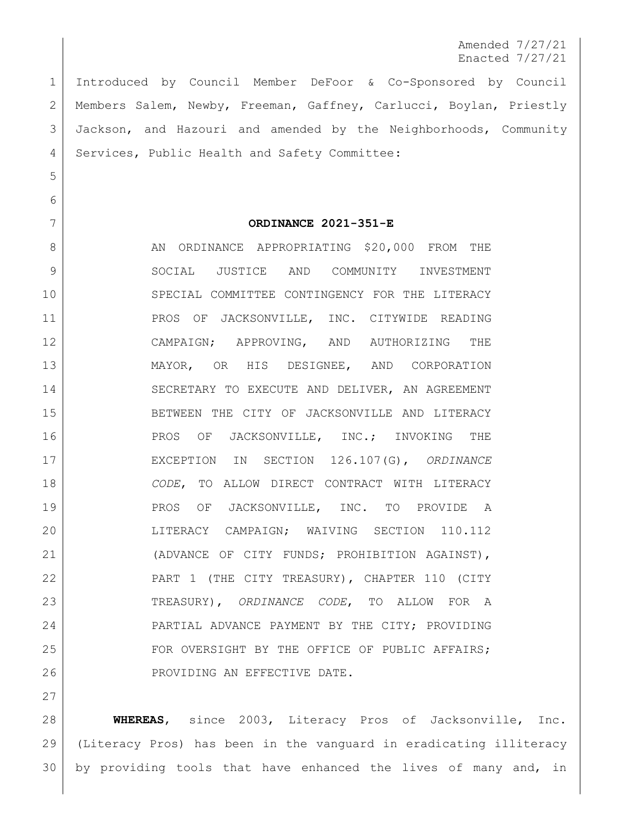Amended 7/27/21 Enacted 7/27/21

 Introduced by Council Member DeFoor & Co-Sponsored by Council Members Salem, Newby, Freeman, Gaffney, Carlucci, Boylan, Priestly Jackson, and Hazouri and amended by the Neighborhoods, Community 4 Services, Public Health and Safety Committee:

5

6

27

## 7 **ORDINANCE 2021-351-E**

8 AN ORDINANCE APPROPRIATING \$20,000 FROM THE 9 SOCIAL JUSTICE AND COMMUNITY INVESTMENT 10 SPECIAL COMMITTEE CONTINGENCY FOR THE LITERACY 11 | PROS OF JACKSONVILLE, INC. CITYWIDE READING 12 CAMPAIGN; APPROVING, AND AUTHORIZING THE 13 MAYOR, OR HIS DESIGNEE, AND CORPORATION 14 SECRETARY TO EXECUTE AND DELIVER, AN AGREEMENT 15 BETWEEN THE CITY OF JACKSONVILLE AND LITERACY 16 | PROS OF JACKSONVILLE, INC.; INVOKING THE 17 EXCEPTION IN SECTION 126.107(G), *ORDINANCE*  18 *CODE*, TO ALLOW DIRECT CONTRACT WITH LITERACY 19 | PROS OF JACKSONVILLE, INC. TO PROVIDE A 20 LITERACY CAMPAIGN; WAIVING SECTION 110.112 21 (ADVANCE OF CITY FUNDS; PROHIBITION AGAINST), 22 PART 1 (THE CITY TREASURY), CHAPTER 110 (CITY 23 TREASURY), *ORDINANCE CODE*, TO ALLOW FOR A 24 PARTIAL ADVANCE PAYMENT BY THE CITY; PROVIDING 25 FOR OVERSIGHT BY THE OFFICE OF PUBLIC AFFAIRS; 26 | PROVIDING AN EFFECTIVE DATE.

28 **WHEREAS**, since 2003, Literacy Pros of Jacksonville, Inc. 29 (Literacy Pros) has been in the vanguard in eradicating illiteracy 30 by providing tools that have enhanced the lives of many and, in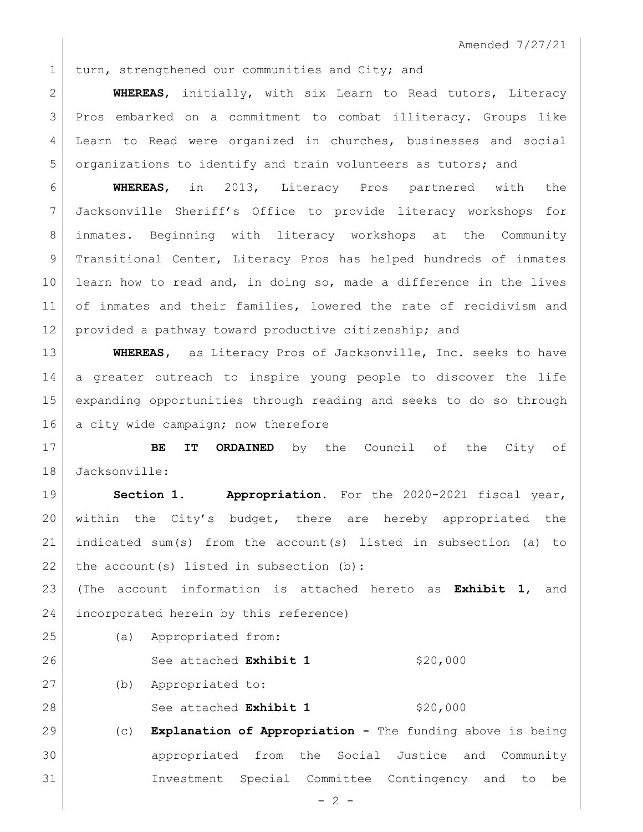1 turn, strengthened our communities and City; and

 **WHEREAS**, initially, with six Learn to Read tutors, Literacy Pros embarked on a commitment to combat illiteracy. Groups like 4 | Learn to Read were organized in churches, businesses and social 5 organizations to identify and train volunteers as tutors; and

 **WHEREAS**, in 2013, Literacy Pros partnered with the Jacksonville Sheriff's Office to provide literacy workshops for inmates. Beginning with literacy workshops at the Community 9 | Transitional Center, Literacy Pros has helped hundreds of inmates learn how to read and, in doing so, made a difference in the lives 11 of inmates and their families, lowered the rate of recidivism and 12 provided a pathway toward productive citizenship; and

 **WHEREAS,** as Literacy Pros of Jacksonville, Inc. seeks to have a greater outreach to inspire young people to discover the life expanding opportunities through reading and seeks to do so through 16 a city wide campaign; now therefore

 **BE IT ORDAINED** by the Council of the City of Jacksonville:

 **Section 1. Appropriation.** For the 2020-2021 fiscal year, within the City's budget, there are hereby appropriated the indicated sum(s) from the account(s) listed in subsection (a) to the account(s) listed in subsection (b):

 (The account information is attached hereto as **Exhibit 1**, and incorporated herein by this reference)

(a) Appropriated from:

26 See attached **Exhibit 1** \$20,000

(b) Appropriated to:

28 See attached **Exhibit 1** \$20,000

 (c) **Explanation of Appropriation -** The funding above is being appropriated from the Social Justice and Community Investment Special Committee Contingency and to be

 $- 2 -$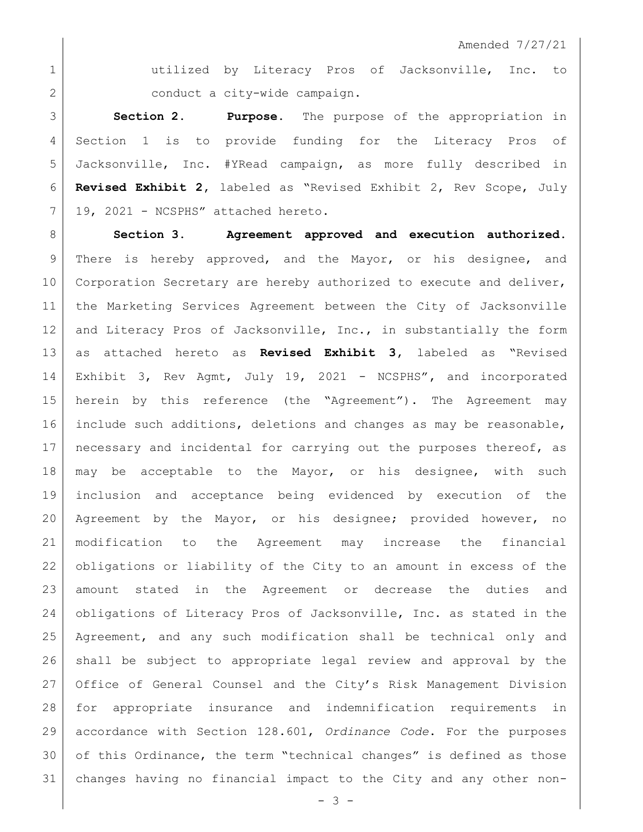1 atilized by Literacy Pros of Jacksonville, Inc. to 2 conduct a city-wide campaign.

 **Section 2. Purpose.** The purpose of the appropriation in Section 1 is to provide funding for the Literacy Pros of Jacksonville, Inc. #YRead campaign, as more fully described in **Revised Exhibit 2,** labeled as "Revised Exhibit 2, Rev Scope, July 19, 2021 - NCSPHS" attached hereto.

 **Section 3. Agreement approved and execution authorized.** 9 There is hereby approved, and the Mayor, or his designee, and 10 Corporation Secretary are hereby authorized to execute and deliver, 11 | the Marketing Services Agreement between the City of Jacksonville 12 and Literacy Pros of Jacksonville, Inc., in substantially the form as attached hereto as **Revised Exhibit 3,** labeled as "Revised Exhibit 3, Rev Agmt, July 19, 2021 - NCSPHS"**,** and incorporated herein by this reference (the "Agreement"). The Agreement may include such additions, deletions and changes as may be reasonable, 17 | necessary and incidental for carrying out the purposes thereof, as may be acceptable to the Mayor, or his designee, with such inclusion and acceptance being evidenced by execution of the Agreement by the Mayor, or his designee; provided however, no modification to the Agreement may increase the financial obligations or liability of the City to an amount in excess of the amount stated in the Agreement or decrease the duties and obligations of Literacy Pros of Jacksonville, Inc. as stated in the Agreement, and any such modification shall be technical only and shall be subject to appropriate legal review and approval by the Office of General Counsel and the City's Risk Management Division for appropriate insurance and indemnification requirements in accordance with Section 128.601, *Ordinance Code*. For the purposes of this Ordinance, the term "technical changes" is defined as those changes having no financial impact to the City and any other non-

 $- 3 -$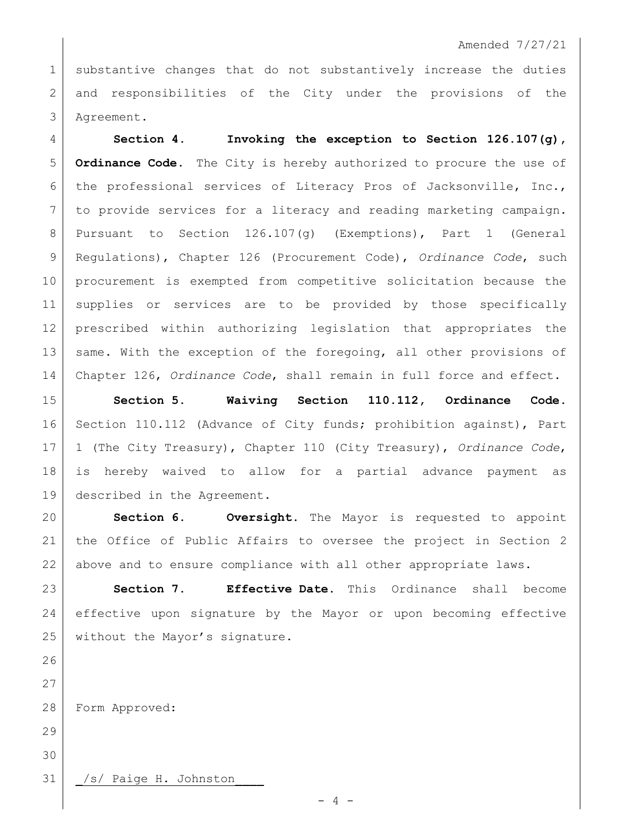## Amended 7/27/21

1 substantive changes that do not substantively increase the duties 2 and responsibilities of the City under the provisions of the Agreement.

 **Section 4. Invoking the exception to Section 126.107(g), Ordinance Code.** The City is hereby authorized to procure the use of 6 the professional services of Literacy Pros of Jacksonville, Inc., to provide services for a literacy and reading marketing campaign. Pursuant to Section 126.107(g) (Exemptions), Part 1 (General Regulations), Chapter 126 (Procurement Code), *Ordinance Code*, such procurement is exempted from competitive solicitation because the supplies or services are to be provided by those specifically prescribed within authorizing legislation that appropriates the 13 same. With the exception of the foregoing, all other provisions of Chapter 126, *Ordinance Code*, shall remain in full force and effect.

 **Section 5. Waiving Section 110.112, Ordinance Code.** 16 Section 110.112 (Advance of City funds; prohibition against), Part 1 (The City Treasury), Chapter 110 (City Treasury), *Ordinance Code*, is hereby waived to allow for a partial advance payment as described in the Agreement.

 **Section 6. Oversight.** The Mayor is requested to appoint the Office of Public Affairs to oversee the project in Section 2 above and to ensure compliance with all other appropriate laws.

 **Section 7. Effective Date.** This Ordinance shall become effective upon signature by the Mayor or upon becoming effective 25 without the Mayor's signature.

 

Form Approved:

 

31 | /s/ Paige H. Johnston